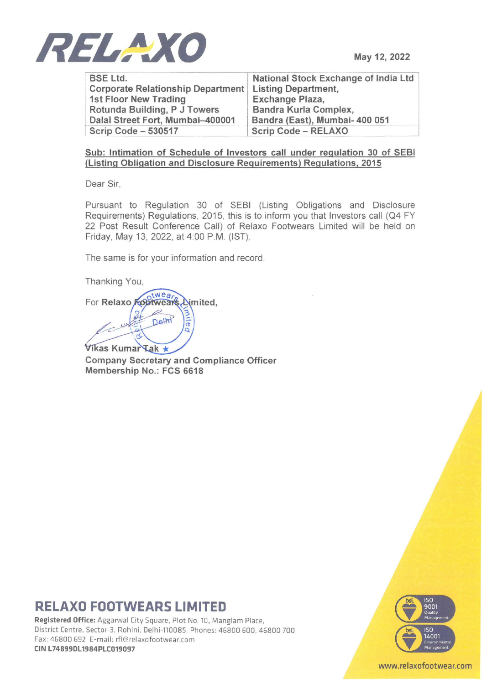

May 12, 2022

BSE Ltd. Corporate Relationship Department 1st Floor New Trading Rotunda Building, P J Towers Dalal Street Fort, Mumbai-400001 Scrip Code - 530517

National Stock Exchange of India Ltd Listing Department, Exchange Plaza, Sandra Kurla Complex, Sandra (East), Mumbai- 400 051 Scrip Code - RELAXO

#### Sub: Intimation of Schedule of Investors call under regulation 30 of SEBI (Listing Obligation and Disclosure Requirements) Regulations, 2015

Dear Sir,

Pursuant to Regulation 30 of SEBI (Listing Obligations and Disclosure Requirements) Regulations, 2015, this is to inform you that Investors call (Q4 FY 22 Post Result Conference Call) of Relaxo Footwears Limited will be held on Friday, May 13, 2022, at 4:00 P.M. (IST).

The same is for your information and record.

Thanking You,

For Relaxo Footwears mite Delhi

Vikas Kumar Tak \*

Company Secretary and Compliance Officer Membership No.: FCS 6618

### **RELAXO FOOTWEARS LIMITED**

RELAXO FOOTWEARS LIMITED<br>
Registered Office: Aggarwal City Square, Plot No. 10, Manglam Place, 0 1500 Manglam Place, 0 1500 Manglam Place, 0 1500 Manglam Place, 0 1500 Manglam Place, 0 1500 Manglam Place, 0 1500 Manglam Pl District Centre, Sector-3, Rohini, Delhi-110085. Phones: 46800 600, 46800 700 **1986.** ISO 140<br>Fax: 46800 692 E-mail: rfl@relaxofootwear.com<br>**CIN L74899DL1984PLC019097** Fax: 46800 692 E-mail: rfl@relaxofootwear.com



www.relaxofootwear.com